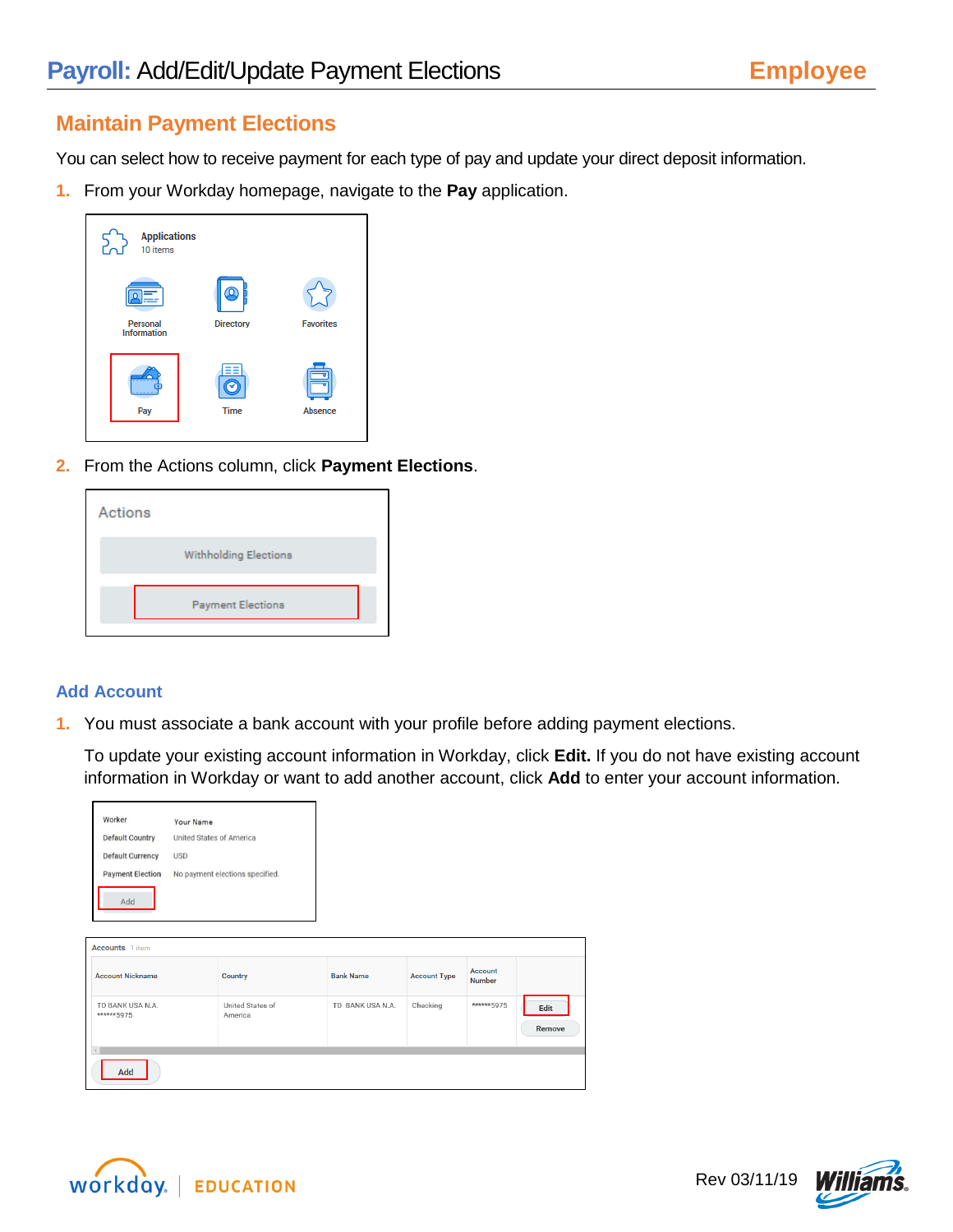## **Maintain Payment Elections**

You can select how to receive payment for each type of pay and update your direct deposit information.

**1.** From your Workday homepage, navigate to the **Pay** application.

| <b>Applications</b><br>10 items |                  |                  |
|---------------------------------|------------------|------------------|
| Personal                        | ი                | <b>Favorites</b> |
| Information                     | <b>Directory</b> |                  |
| Pay                             | <b>Time</b>      | Absence          |

**2.** From the Actions column, click **Payment Elections**.

| Actions |                              |
|---------|------------------------------|
|         | <b>Withholding Elections</b> |
|         | <b>Payment Elections</b>     |

## **Add Account**

**1.** You must associate a bank account with your profile before adding payment elections.

To update your existing account information in Workday, click **Edit.** If you do not have existing account information in Workday or want to add another account, click **Add** to enter your account information.

| Worker<br><b>Default Country</b><br><b>Default Currency</b> | Your Name<br>United States of America<br><b>USD</b> |                                 |                  |                     |                          |                |
|-------------------------------------------------------------|-----------------------------------------------------|---------------------------------|------------------|---------------------|--------------------------|----------------|
| <b>Payment Election</b>                                     |                                                     | No payment elections specified. |                  |                     |                          |                |
| Add                                                         |                                                     |                                 |                  |                     |                          |                |
| <b>Accounts</b> 1 item                                      |                                                     |                                 |                  |                     |                          |                |
| <b>Account Nickname</b>                                     |                                                     | Country                         | <b>Bank Name</b> | <b>Account Type</b> | Account<br><b>Number</b> |                |
| TD BANK USA N.A.<br>******5975                              |                                                     | United States of<br>America     | TD BANK USA N.A. | Checking            | ****** 5975              | Edit<br>Remove |
| $\epsilon$<br>Add                                           |                                                     |                                 |                  |                     |                          |                |



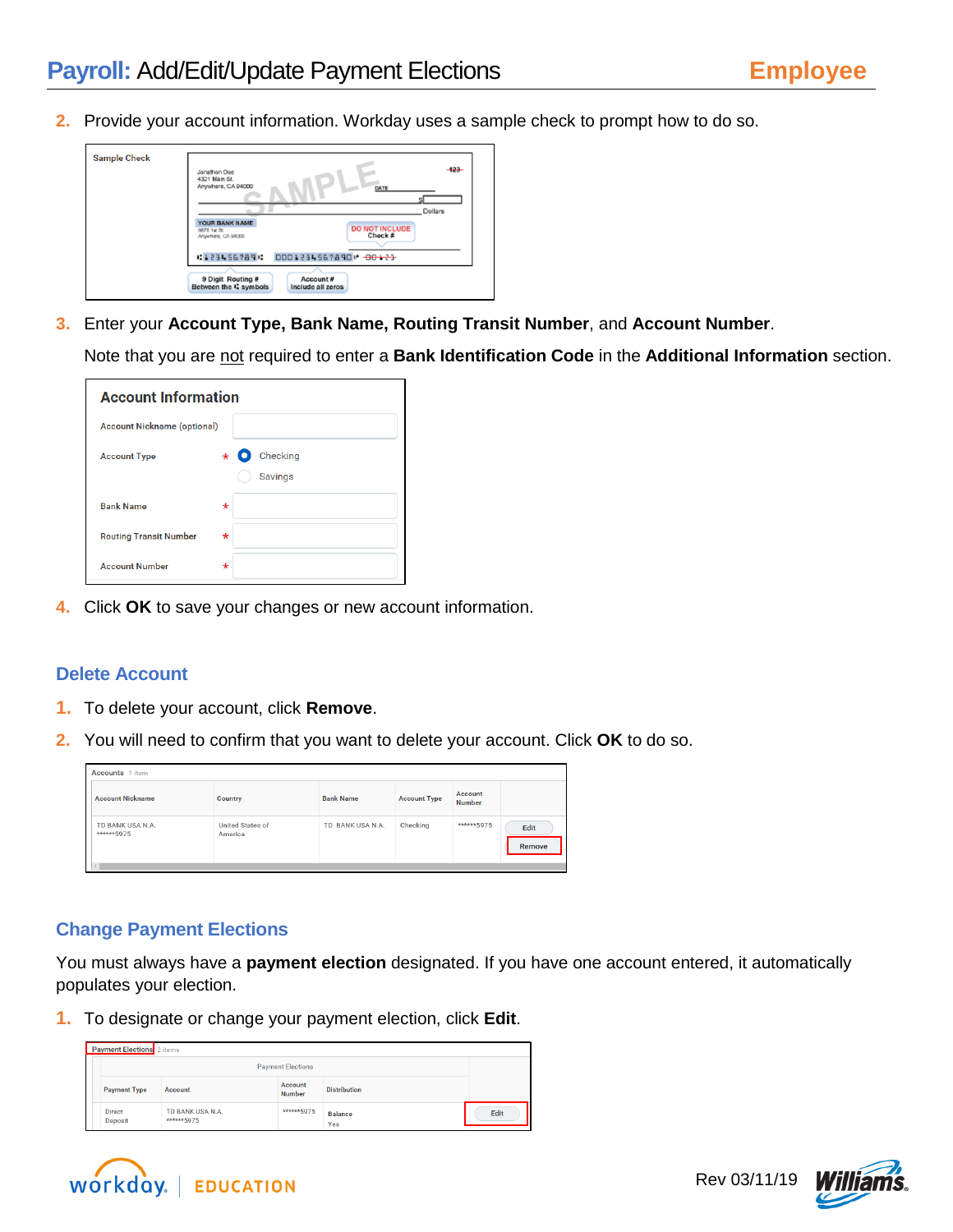**2.** Provide your account information. Workday uses a sample check to prompt how to do so.



**3.** Enter your **Account Type, Bank Name, Routing Transit Number**, and **Account Number**.

Note that you are not required to enter a **Bank Identification Code** in the **Additional Information** section.

| <b>Account Information</b>         |         |                                         |  |  |  |
|------------------------------------|---------|-----------------------------------------|--|--|--|
| <b>Account Nickname (optional)</b> |         |                                         |  |  |  |
| <b>Account Type</b>                |         | Checking<br>$\star$ 0<br><b>Savings</b> |  |  |  |
| <b>Bank Name</b>                   | $\star$ |                                         |  |  |  |
| <b>Routing Transit Number</b>      | $\star$ |                                         |  |  |  |
| <b>Account Number</b>              | $\star$ |                                         |  |  |  |

**4.** Click **OK** to save your changes or new account information.

## **Delete Account**

- **1.** To delete your account, click **Remove**.
- **2.** You will need to confirm that you want to delete your account. Click **OK** to do so.

| <b>Accounts</b> 1 item                      |                             |                  |                     |                          |                |  |  |
|---------------------------------------------|-----------------------------|------------------|---------------------|--------------------------|----------------|--|--|
| <b>Account Nickname</b>                     | Country                     | <b>Bank Name</b> | <b>Account Type</b> | Account<br><b>Number</b> |                |  |  |
| TD BANK USA N.A.<br>******5975<br>$\langle$ | United States of<br>America | TD BANK USA N.A. | Checking            | ******5975               | Edit<br>Remove |  |  |

## **Change Payment Elections**

You must always have a **payment election** designated. If you have one account entered, it automatically populates your election.

**1.** To designate or change your payment election, click **Edit**.

| Payment Elections 2 items |                                |                          |                     |      |  |  |  |  |
|---------------------------|--------------------------------|--------------------------|---------------------|------|--|--|--|--|
|                           |                                | <b>Payment Elections</b> |                     |      |  |  |  |  |
| <b>Payment Type</b>       | Account                        | Account<br><b>Number</b> | <b>Distribution</b> |      |  |  |  |  |
| Direct<br>Deposit         | TD BANK USA N.A.<br>******5975 | ****** 5975              | Balance<br>Yes      | Edit |  |  |  |  |



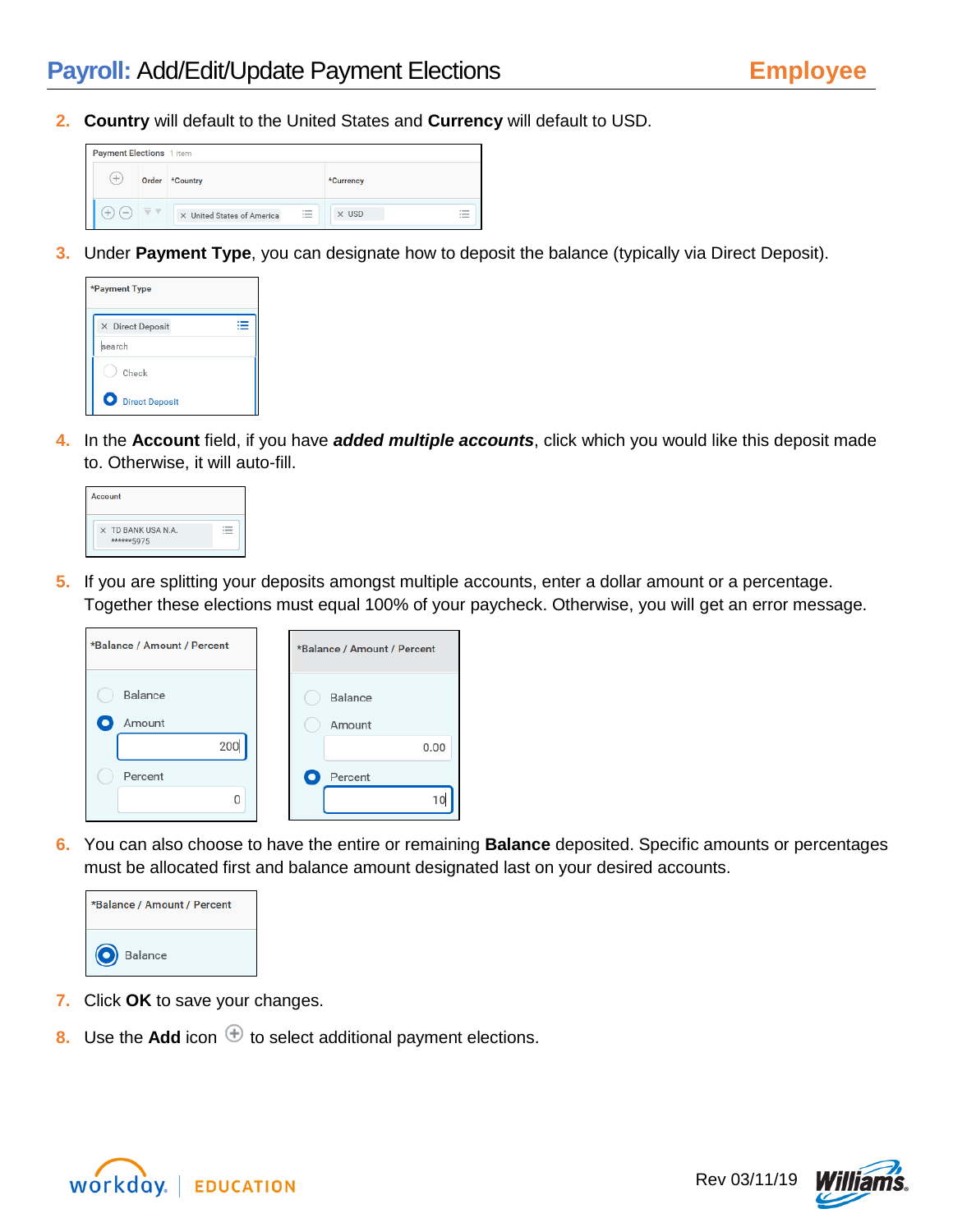**2. Country** will default to the United States and **Currency** will default to USD.



**3.** Under **Payment Type**, you can designate how to deposit the balance (typically via Direct Deposit).

| *Payment Type           |  |
|-------------------------|--|
| X Direct Deposit        |  |
| search                  |  |
| Check                   |  |
| <b>O</b> Direct Deposit |  |

**4.** In the **Account** field, if you have *added multiple accounts*, click which you would like this deposit made to. Otherwise, it will auto-fill.

| Account                                 |  |
|-----------------------------------------|--|
| $\times$ TD BANK USA N.A.<br>******5975 |  |

**5.** If you are splitting your deposits amongst multiple accounts, enter a dollar amount or a percentage. Together these elections must equal 100% of your paycheck. Otherwise, you will get an error message.

| *Balance / Amount / Percent | *Balance / Amount / Percent |
|-----------------------------|-----------------------------|
| Balance<br>Amount           | Balance<br>Amount           |
| 200                         | 0.00                        |
| Percent                     | Percent                     |
| 0                           | 10                          |

**6.** You can also choose to have the entire or remaining **Balance** deposited. Specific amounts or percentages must be allocated first and balance amount designated last on your desired accounts.



- **7.** Click **OK** to save your changes.
- **8.** Use the **Add** icon  $\bigoplus$  to select additional payment elections.